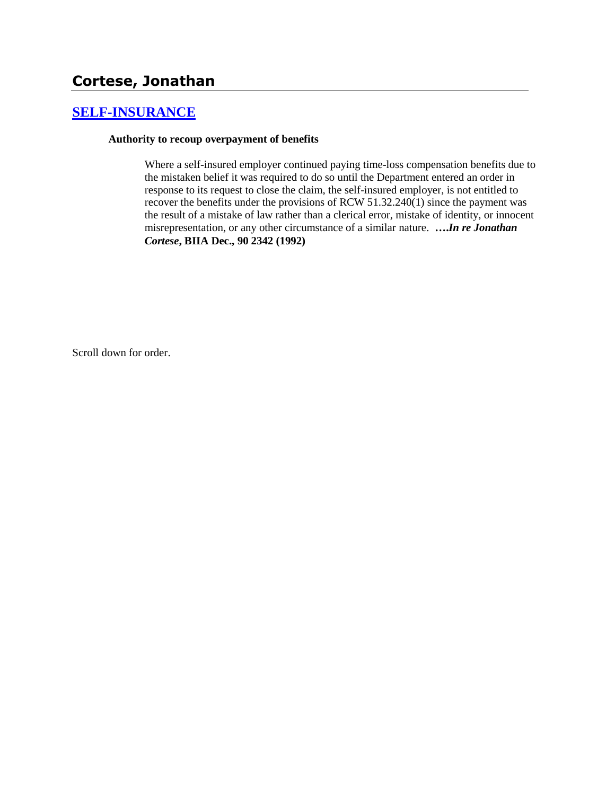# **Cortese, Jonathan**

## **[SELF-INSURANCE](http://www.biia.wa.gov/SDSubjectIndex.html#SELF_INSURANCE)**

### **Authority to recoup overpayment of benefits**

Where a self-insured employer continued paying time-loss compensation benefits due to the mistaken belief it was required to do so until the Department entered an order in response to its request to close the claim, the self-insured employer, is not entitled to recover the benefits under the provisions of RCW 51.32.240(1) since the payment was the result of a mistake of law rather than a clerical error, mistake of identity, or innocent misrepresentation, or any other circumstance of a similar nature. **….***In re Jonathan Cortese***, BIIA Dec., 90 2342 (1992)**

Scroll down for order.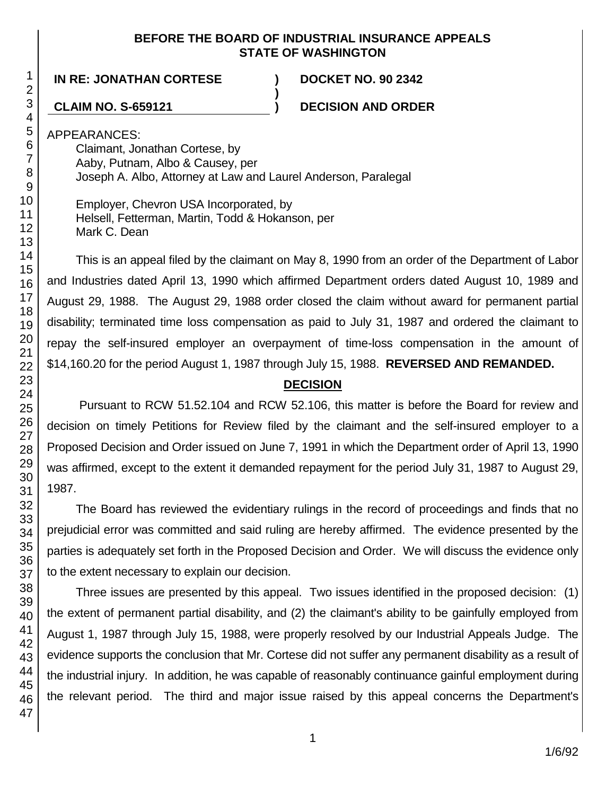### **BEFORE THE BOARD OF INDUSTRIAL INSURANCE APPEALS STATE OF WASHINGTON**

**)**

### **IN RE: JONATHAN CORTESE ) DOCKET NO. 90 2342**

**CLAIM NO. S-659121 ) DECISION AND ORDER**

APPEARANCES:

Claimant, Jonathan Cortese, by Aaby, Putnam, Albo & Causey, per Joseph A. Albo, Attorney at Law and Laurel Anderson, Paralegal

Employer, Chevron USA Incorporated, by Helsell, Fetterman, Martin, Todd & Hokanson, per Mark C. Dean

This is an appeal filed by the claimant on May 8, 1990 from an order of the Department of Labor and Industries dated April 13, 1990 which affirmed Department orders dated August 10, 1989 and August 29, 1988. The August 29, 1988 order closed the claim without award for permanent partial disability; terminated time loss compensation as paid to July 31, 1987 and ordered the claimant to repay the self-insured employer an overpayment of time-loss compensation in the amount of \$14,160.20 for the period August 1, 1987 through July 15, 1988. **REVERSED AND REMANDED.**

## **DECISION**

Pursuant to RCW 51.52.104 and RCW 52.106, this matter is before the Board for review and decision on timely Petitions for Review filed by the claimant and the self-insured employer to a Proposed Decision and Order issued on June 7, 1991 in which the Department order of April 13, 1990 was affirmed, except to the extent it demanded repayment for the period July 31, 1987 to August 29, 1987.

The Board has reviewed the evidentiary rulings in the record of proceedings and finds that no prejudicial error was committed and said ruling are hereby affirmed. The evidence presented by the parties is adequately set forth in the Proposed Decision and Order. We will discuss the evidence only to the extent necessary to explain our decision.

Three issues are presented by this appeal. Two issues identified in the proposed decision: (1) the extent of permanent partial disability, and (2) the claimant's ability to be gainfully employed from August 1, 1987 through July 15, 1988, were properly resolved by our Industrial Appeals Judge. The evidence supports the conclusion that Mr. Cortese did not suffer any permanent disability as a result of the industrial injury. In addition, he was capable of reasonably continuance gainful employment during the relevant period. The third and major issue raised by this appeal concerns the Department's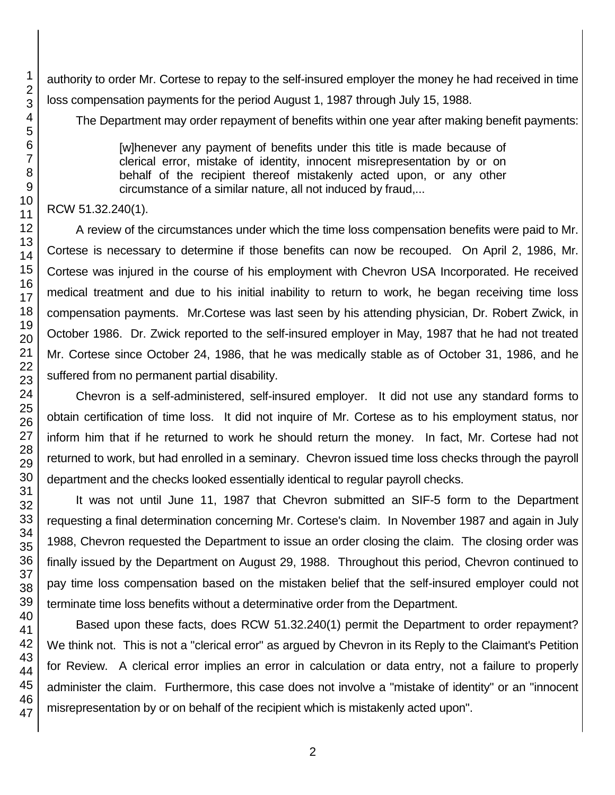authority to order Mr. Cortese to repay to the self-insured employer the money he had received in time loss compensation payments for the period August 1, 1987 through July 15, 1988.

The Department may order repayment of benefits within one year after making benefit payments:

[w]henever any payment of benefits under this title is made because of clerical error, mistake of identity, innocent misrepresentation by or on behalf of the recipient thereof mistakenly acted upon, or any other circumstance of a similar nature, all not induced by fraud,...

RCW 51.32.240(1).

A review of the circumstances under which the time loss compensation benefits were paid to Mr. Cortese is necessary to determine if those benefits can now be recouped. On April 2, 1986, Mr. Cortese was injured in the course of his employment with Chevron USA Incorporated. He received medical treatment and due to his initial inability to return to work, he began receiving time loss compensation payments. Mr.Cortese was last seen by his attending physician, Dr. Robert Zwick, in October 1986. Dr. Zwick reported to the self-insured employer in May, 1987 that he had not treated Mr. Cortese since October 24, 1986, that he was medically stable as of October 31, 1986, and he suffered from no permanent partial disability.

Chevron is a self-administered, self-insured employer. It did not use any standard forms to obtain certification of time loss. It did not inquire of Mr. Cortese as to his employment status, nor inform him that if he returned to work he should return the money. In fact, Mr. Cortese had not returned to work, but had enrolled in a seminary. Chevron issued time loss checks through the payroll department and the checks looked essentially identical to regular payroll checks.

It was not until June 11, 1987 that Chevron submitted an SIF-5 form to the Department requesting a final determination concerning Mr. Cortese's claim. In November 1987 and again in July 1988, Chevron requested the Department to issue an order closing the claim. The closing order was finally issued by the Department on August 29, 1988. Throughout this period, Chevron continued to pay time loss compensation based on the mistaken belief that the self-insured employer could not terminate time loss benefits without a determinative order from the Department.

Based upon these facts, does RCW 51.32.240(1) permit the Department to order repayment? We think not. This is not a "clerical error" as argued by Chevron in its Reply to the Claimant's Petition for Review. A clerical error implies an error in calculation or data entry, not a failure to properly administer the claim. Furthermore, this case does not involve a "mistake of identity" or an "innocent misrepresentation by or on behalf of the recipient which is mistakenly acted upon".

1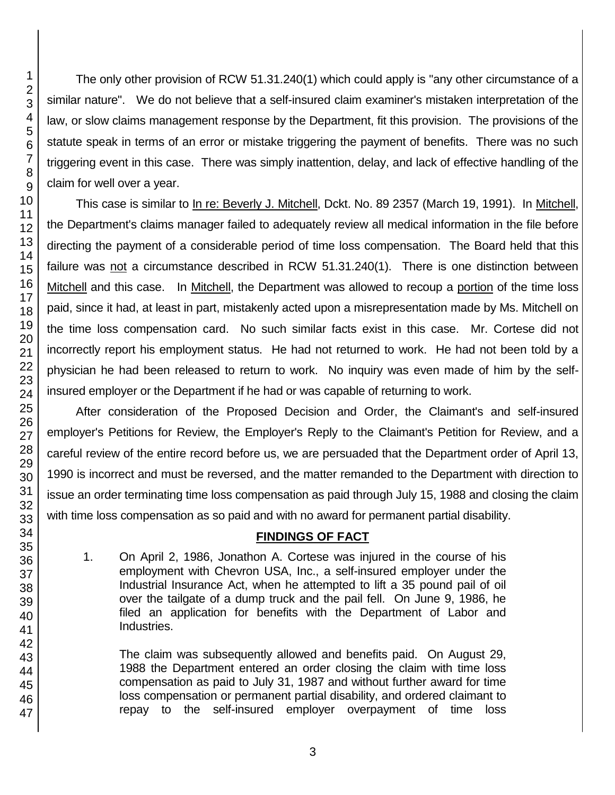The only other provision of RCW 51.31.240(1) which could apply is "any other circumstance of a similar nature". We do not believe that a self-insured claim examiner's mistaken interpretation of the law, or slow claims management response by the Department, fit this provision. The provisions of the statute speak in terms of an error or mistake triggering the payment of benefits. There was no such triggering event in this case. There was simply inattention, delay, and lack of effective handling of the claim for well over a year.

This case is similar to In re: Beverly J. Mitchell, Dckt. No. 89 2357 (March 19, 1991). In Mitchell, the Department's claims manager failed to adequately review all medical information in the file before directing the payment of a considerable period of time loss compensation. The Board held that this failure was not a circumstance described in RCW 51.31.240(1). There is one distinction between Mitchell and this case. In Mitchell, the Department was allowed to recoup a portion of the time loss paid, since it had, at least in part, mistakenly acted upon a misrepresentation made by Ms. Mitchell on the time loss compensation card. No such similar facts exist in this case. Mr. Cortese did not incorrectly report his employment status. He had not returned to work. He had not been told by a physician he had been released to return to work. No inquiry was even made of him by the selfinsured employer or the Department if he had or was capable of returning to work.

After consideration of the Proposed Decision and Order, the Claimant's and self-insured employer's Petitions for Review, the Employer's Reply to the Claimant's Petition for Review, and a careful review of the entire record before us, we are persuaded that the Department order of April 13, 1990 is incorrect and must be reversed, and the matter remanded to the Department with direction to issue an order terminating time loss compensation as paid through July 15, 1988 and closing the claim with time loss compensation as so paid and with no award for permanent partial disability.

### **FINDINGS OF FACT**

1. On April 2, 1986, Jonathon A. Cortese was injured in the course of his employment with Chevron USA, Inc., a self-insured employer under the Industrial Insurance Act, when he attempted to lift a 35 pound pail of oil over the tailgate of a dump truck and the pail fell. On June 9, 1986, he filed an application for benefits with the Department of Labor and Industries.

The claim was subsequently allowed and benefits paid. On August 29, 1988 the Department entered an order closing the claim with time loss compensation as paid to July 31, 1987 and without further award for time loss compensation or permanent partial disability, and ordered claimant to repay to the self-insured employer overpayment of time loss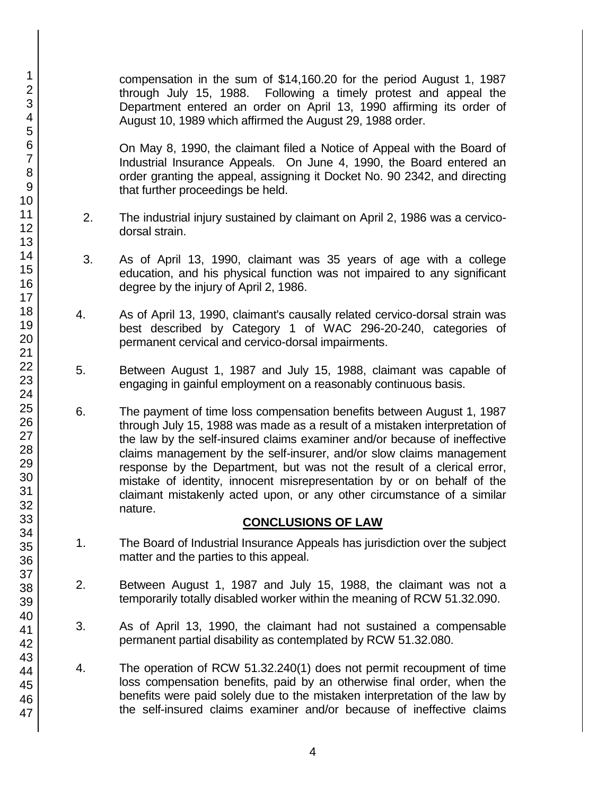compensation in the sum of \$14,160.20 for the period August 1, 1987 through July 15, 1988. Following a timely protest and appeal the Department entered an order on April 13, 1990 affirming its order of August 10, 1989 which affirmed the August 29, 1988 order.

On May 8, 1990, the claimant filed a Notice of Appeal with the Board of Industrial Insurance Appeals. On June 4, 1990, the Board entered an order granting the appeal, assigning it Docket No. 90 2342, and directing that further proceedings be held.

- 2. The industrial injury sustained by claimant on April 2, 1986 was a cervicodorsal strain.
- 3. As of April 13, 1990, claimant was 35 years of age with a college education, and his physical function was not impaired to any significant degree by the injury of April 2, 1986.
- 4. As of April 13, 1990, claimant's causally related cervico-dorsal strain was best described by Category 1 of WAC 296-20-240, categories of permanent cervical and cervico-dorsal impairments.
- 5. Between August 1, 1987 and July 15, 1988, claimant was capable of engaging in gainful employment on a reasonably continuous basis.
- 6. The payment of time loss compensation benefits between August 1, 1987 through July 15, 1988 was made as a result of a mistaken interpretation of the law by the self-insured claims examiner and/or because of ineffective claims management by the self-insurer, and/or slow claims management response by the Department, but was not the result of a clerical error, mistake of identity, innocent misrepresentation by or on behalf of the claimant mistakenly acted upon, or any other circumstance of a similar nature.

### **CONCLUSIONS OF LAW**

- 1. The Board of Industrial Insurance Appeals has jurisdiction over the subject matter and the parties to this appeal.
- 2. Between August 1, 1987 and July 15, 1988, the claimant was not a temporarily totally disabled worker within the meaning of RCW 51.32.090.
- 3. As of April 13, 1990, the claimant had not sustained a compensable permanent partial disability as contemplated by RCW 51.32.080.
- 4. The operation of RCW 51.32.240(1) does not permit recoupment of time loss compensation benefits, paid by an otherwise final order, when the benefits were paid solely due to the mistaken interpretation of the law by the self-insured claims examiner and/or because of ineffective claims